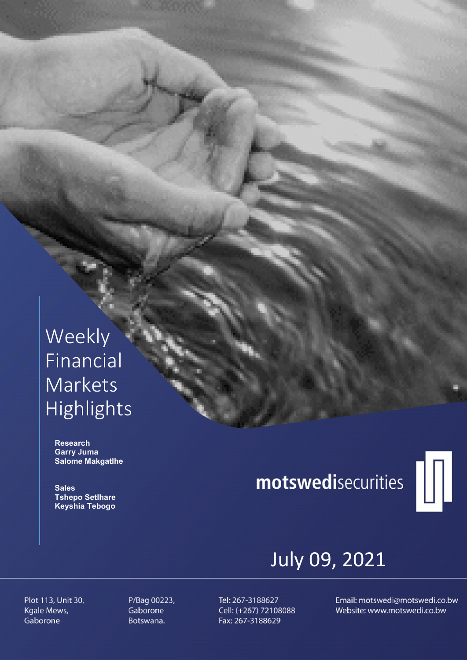## Weekly Financial Markets Highlights

 Research Garry Juma Salome Makgatlhe

**Sales**  Tshepo Setlhare Keyshia Tebogo

# motswedisecurities



## July 09, 2021

Plot 113, Unit 30, Kgale Mews, Gaborone

P/Bag 00223, Gaborone Botswana.

Tel: 267-3188627 Cell: (+267) 72108088 Fax: 267-3188629

Email: motswedi@motswedi.co.bw Website: www.motswedi.co.bw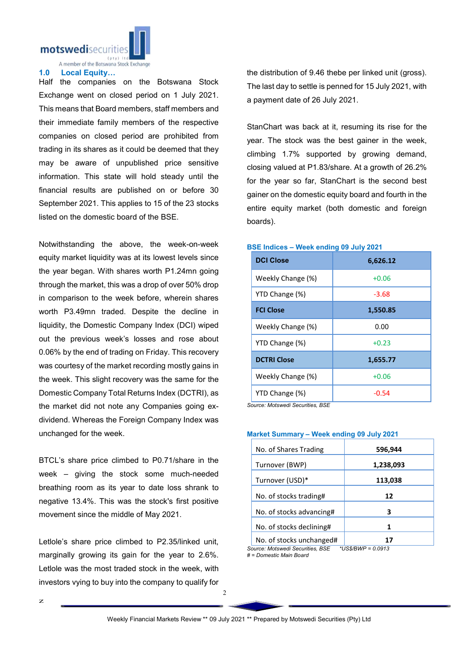

A member of the Botswana Stock Exchange

#### 1.0 Local Equity…

Half the companies on the Botswana Stock Exchange went on closed period on 1 July 2021. This means that Board members, staff members and their immediate family members of the respective companies on closed period are prohibited from trading in its shares as it could be deemed that they may be aware of unpublished price sensitive information. This state will hold steady until the financial results are published on or before 30 September 2021. This applies to 15 of the 23 stocks listed on the domestic board of the BSE.

Notwithstanding the above, the week-on-week equity market liquidity was at its lowest levels since the year began. With shares worth P1.24mn going through the market, this was a drop of over 50% drop in comparison to the week before, wherein shares worth P3.49mn traded. Despite the decline in liquidity, the Domestic Company Index (DCI) wiped out the previous week's losses and rose about 0.06% by the end of trading on Friday. This recovery was courtesy of the market recording mostly gains in the week. This slight recovery was the same for the Domestic Company Total Returns Index (DCTRI), as the market did not note any Companies going exdividend. Whereas the Foreign Company Index was unchanged for the week.

BTCL's share price climbed to P0.71/share in the week – giving the stock some much-needed breathing room as its year to date loss shrank to negative 13.4%. This was the stock's first positive movement since the middle of May 2021.

Letlole's share price climbed to P2.35/linked unit, marginally growing its gain for the year to 2.6%. Letlole was the most traded stock in the week, with investors vying to buy into the company to qualify for

the distribution of 9.46 thebe per linked unit (gross). The last day to settle is penned for 15 July 2021, with a payment date of 26 July 2021.

StanChart was back at it, resuming its rise for the year. The stock was the best gainer in the week, climbing 1.7% supported by growing demand, closing valued at P1.83/share. At a growth of 26.2% for the year so far, StanChart is the second best gainer on the domestic equity board and fourth in the entire equity market (both domestic and foreign boards).

| <b>DCI Close</b>   | 6,626.12 |  |  |  |
|--------------------|----------|--|--|--|
| Weekly Change (%)  | $+0.06$  |  |  |  |
| YTD Change (%)     | $-3.68$  |  |  |  |
| <b>FCI Close</b>   | 1,550.85 |  |  |  |
| Weekly Change (%)  | 0.00     |  |  |  |
| YTD Change (%)     | $+0.23$  |  |  |  |
| <b>DCTRI Close</b> | 1,655.77 |  |  |  |
| Weekly Change (%)  | $+0.06$  |  |  |  |
| YTD Change (%)     | $-0.54$  |  |  |  |

#### BSE Indices – Week ending 09 July 2021

*Source: Motswedi Securities, BSE*

#### Market Summary – Week ending 09 July 2021

| No. of Shares Trading                                  | 596,944   |  |  |  |
|--------------------------------------------------------|-----------|--|--|--|
| Turnover (BWP)                                         | 1,238,093 |  |  |  |
| Turnover (USD)*                                        | 113,038   |  |  |  |
| No. of stocks trading#                                 | 12        |  |  |  |
| No. of stocks advancing#                               | з         |  |  |  |
| No. of stocks declining#                               |           |  |  |  |
| No. of stocks unchanged#                               | 17        |  |  |  |
| Source: Motswedi Securities. BSE<br>*US\$/BWP = 0.0913 |           |  |  |  |

*# = Domestic Main Board*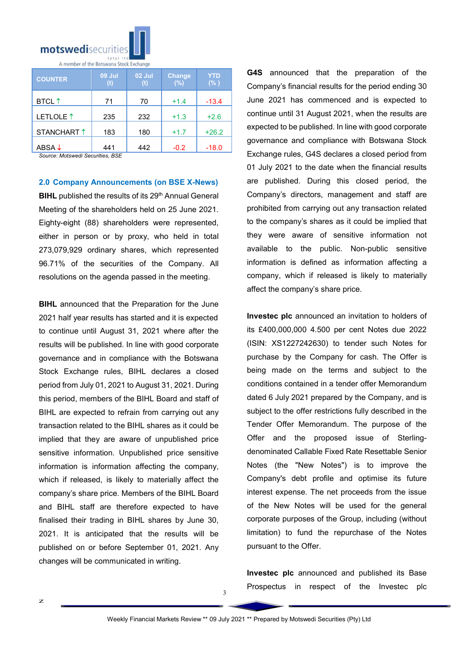

| <b>COUNTER</b>       | <b>09 Jul</b><br>(t) | 02 Jul<br>(t) | <b>Change</b><br>(%) | YTD<br>$(\% )$ |  |  |  |
|----------------------|----------------------|---------------|----------------------|----------------|--|--|--|
| <b>BTCL</b> ↑        | 71                   | 70            | $+1.4$               | $-13.4$        |  |  |  |
| LETLOLE <sup>1</sup> | 235                  | 232           | $+1.3$               | $+2.6$         |  |  |  |
| STANCHART 1          | 183                  | 180           | $+1.7$               | $+26.2$        |  |  |  |
| ABSA $\downarrow$    | 441                  | 442           | $-0.2$               | $-18.0$        |  |  |  |

*Source: Motswedi Securities, BSE* 

2.0 Company Announcements (on BSE X-News) BIHL published the results of its 29<sup>th</sup> Annual General Meeting of the shareholders held on 25 June 2021. Eighty-eight (88) shareholders were represented, either in person or by proxy, who held in total 273,079,929 ordinary shares, which represented 96.71% of the securities of the Company. All resolutions on the agenda passed in the meeting.

**BIHL** announced that the Preparation for the June 2021 half year results has started and it is expected to continue until August 31, 2021 where after the results will be published. In line with good corporate governance and in compliance with the Botswana Stock Exchange rules, BIHL declares a closed period from July 01, 2021 to August 31, 2021. During this period, members of the BIHL Board and staff of BIHL are expected to refrain from carrying out any transaction related to the BIHL shares as it could be implied that they are aware of unpublished price sensitive information. Unpublished price sensitive information is information affecting the company, which if released, is likely to materially affect the company's share price. Members of the BIHL Board and BIHL staff are therefore expected to have finalised their trading in BIHL shares by June 30, 2021. It is anticipated that the results will be published on or before September 01, 2021. Any changes will be communicated in writing.

G4S announced that the preparation of the Company's financial results for the period ending 30 June 2021 has commenced and is expected to continue until 31 August 2021, when the results are expected to be published. In line with good corporate governance and compliance with Botswana Stock Exchange rules, G4S declares a closed period from 01 July 2021 to the date when the financial results are published. During this closed period, the Company's directors, management and staff are prohibited from carrying out any transaction related to the company's shares as it could be implied that they were aware of sensitive information not available to the public. Non-public sensitive information is defined as information affecting a company, which if released is likely to materially affect the company's share price.

Investec plc announced an invitation to holders of its £400,000,000 4.500 per cent Notes due 2022 (ISIN: XS1227242630) to tender such Notes for purchase by the Company for cash. The Offer is being made on the terms and subject to the conditions contained in a tender offer Memorandum dated 6 July 2021 prepared by the Company, and is subject to the offer restrictions fully described in the Tender Offer Memorandum. The purpose of the Offer and the proposed issue of Sterlingdenominated Callable Fixed Rate Resettable Senior Notes (the "New Notes") is to improve the Company's debt profile and optimise its future interest expense. The net proceeds from the issue of the New Notes will be used for the general corporate purposes of the Group, including (without limitation) to fund the repurchase of the Notes pursuant to the Offer.

Investec plc announced and published its Base Prospectus in respect of the Investec plc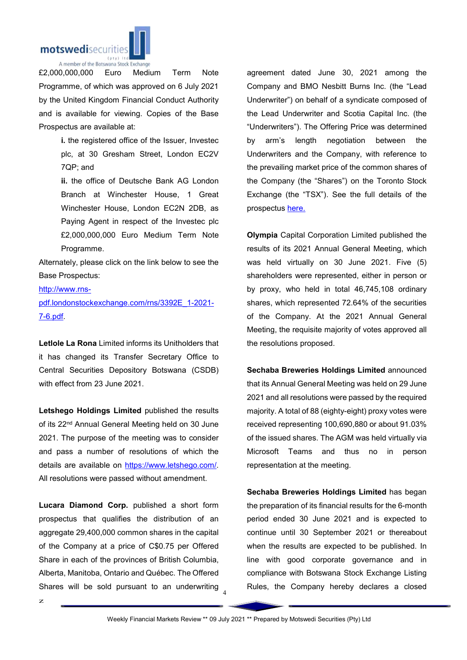

£2,000,000,000 Euro Medium Term Note Programme, of which was approved on 6 July 2021 by the United Kingdom Financial Conduct Authority and is available for viewing. Copies of the Base Prospectus are available at:

> i. the registered office of the Issuer, Investec plc, at 30 Gresham Street, London EC2V 7QP; and

> ii. the office of Deutsche Bank AG London Branch at Winchester House, 1 Great Winchester House, London EC2N 2DB, as Paying Agent in respect of the Investec plc £2,000,000,000 Euro Medium Term Note Programme.

Alternately, please click on the link below to see the Base Prospectus:

http://www.rns-

pdf.londonstockexchange.com/rns/3392E\_1-2021- 7-6.pdf.

Letlole La Rona Limited informs its Unitholders that it has changed its Transfer Secretary Office to Central Securities Depository Botswana (CSDB) with effect from 23 June 2021.

Letshego Holdings Limited published the results of its 22<sup>nd</sup> Annual General Meeting held on 30 June 2021. The purpose of the meeting was to consider and pass a number of resolutions of which the details are available on https://www.letshego.com/. All resolutions were passed without amendment.

Shares will be sold pursuant to an underwriting  $_4$ Lucara Diamond Corp. published a short form prospectus that qualifies the distribution of an aggregate 29,400,000 common shares in the capital of the Company at a price of C\$0.75 per Offered Share in each of the provinces of British Columbia, Alberta, Manitoba, Ontario and Québec. The Offered

agreement dated June 30, 2021 among the Company and BMO Nesbitt Burns Inc. (the "Lead Underwriter") on behalf of a syndicate composed of the Lead Underwriter and Scotia Capital Inc. (the "Underwriters"). The Offering Price was determined by arm's length negotiation between the Underwriters and the Company, with reference to the prevailing market price of the common shares of the Company (the "Shares") on the Toronto Stock Exchange (the "TSX"). See the full details of the prospectus here.

Olympia Capital Corporation Limited published the results of its 2021 Annual General Meeting, which was held virtually on 30 June 2021. Five (5) shareholders were represented, either in person or by proxy, who held in total 46,745,108 ordinary shares, which represented 72.64% of the securities of the Company. At the 2021 Annual General Meeting, the requisite majority of votes approved all the resolutions proposed.

Sechaba Breweries Holdings Limited announced that its Annual General Meeting was held on 29 June 2021 and all resolutions were passed by the required majority. A total of 88 (eighty-eight) proxy votes were received representing 100,690,880 or about 91.03% of the issued shares. The AGM was held virtually via Microsoft Teams and thus no in person representation at the meeting.

Sechaba Breweries Holdings Limited has began the preparation of its financial results for the 6-month period ended 30 June 2021 and is expected to continue until 30 September 2021 or thereabout when the results are expected to be published. In line with good corporate governance and in compliance with Botswana Stock Exchange Listing Rules, the Company hereby declares a closed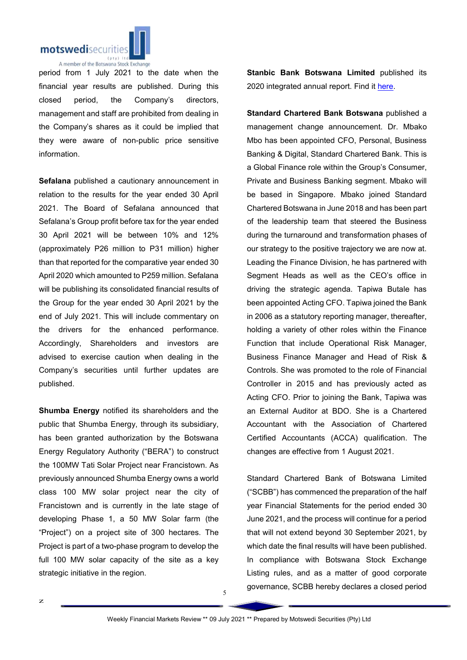

period from 1 July 2021 to the date when the financial year results are published. During this closed period, the Company's directors, management and staff are prohibited from dealing in the Company's shares as it could be implied that they were aware of non-public price sensitive information.

Sefalana published a cautionary announcement in relation to the results for the year ended 30 April 2021. The Board of Sefalana announced that Sefalana's Group profit before tax for the year ended 30 April 2021 will be between 10% and 12% (approximately P26 million to P31 million) higher than that reported for the comparative year ended 30 April 2020 which amounted to P259 million. Sefalana will be publishing its consolidated financial results of the Group for the year ended 30 April 2021 by the end of July 2021. This will include commentary on the drivers for the enhanced performance. Accordingly, Shareholders and investors are advised to exercise caution when dealing in the Company's securities until further updates are published.

Shumba Energy notified its shareholders and the public that Shumba Energy, through its subsidiary, has been granted authorization by the Botswana Energy Regulatory Authority ("BERA") to construct the 100MW Tati Solar Project near Francistown. As previously announced Shumba Energy owns a world class 100 MW solar project near the city of Francistown and is currently in the late stage of developing Phase 1, a 50 MW Solar farm (the "Project") on a project site of 300 hectares. The Project is part of a two-phase program to develop the full 100 MW solar capacity of the site as a key strategic initiative in the region.

Stanbic Bank Botswana Limited published its 2020 integrated annual report. Find it here.

Standard Chartered Bank Botswana published a management change announcement. Dr. Mbako Mbo has been appointed CFO, Personal, Business Banking & Digital, Standard Chartered Bank. This is a Global Finance role within the Group's Consumer, Private and Business Banking segment. Mbako will be based in Singapore. Mbako joined Standard Chartered Botswana in June 2018 and has been part of the leadership team that steered the Business during the turnaround and transformation phases of our strategy to the positive trajectory we are now at. Leading the Finance Division, he has partnered with Segment Heads as well as the CEO's office in driving the strategic agenda. Tapiwa Butale has been appointed Acting CFO. Tapiwa joined the Bank in 2006 as a statutory reporting manager, thereafter, holding a variety of other roles within the Finance Function that include Operational Risk Manager, Business Finance Manager and Head of Risk & Controls. She was promoted to the role of Financial Controller in 2015 and has previously acted as Acting CFO. Prior to joining the Bank, Tapiwa was an External Auditor at BDO. She is a Chartered Accountant with the Association of Chartered Certified Accountants (ACCA) qualification. The changes are effective from 1 August 2021.

Standard Chartered Bank of Botswana Limited ("SCBB") has commenced the preparation of the half year Financial Statements for the period ended 30 June 2021, and the process will continue for a period that will not extend beyond 30 September 2021, by which date the final results will have been published. In compliance with Botswana Stock Exchange Listing rules, and as a matter of good corporate governance, SCBB hereby declares a closed period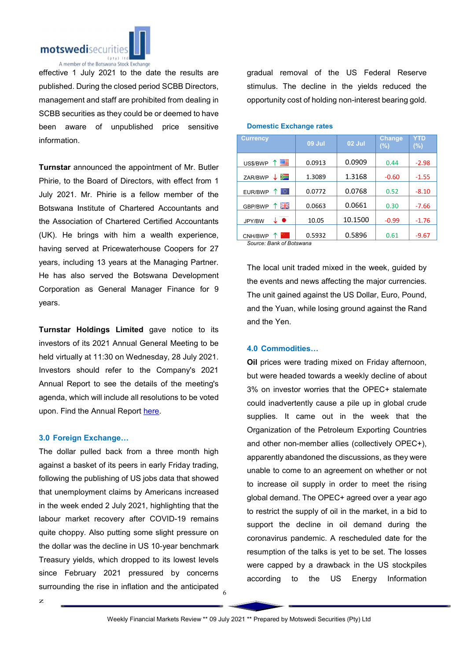

effective 1 July 2021 to the date the results are published. During the closed period SCBB Directors, management and staff are prohibited from dealing in SCBB securities as they could be or deemed to have been aware of unpublished price sensitive information.

Turnstar announced the appointment of Mr. Butler Phirie, to the Board of Directors, with effect from 1 July 2021. Mr. Phirie is a fellow member of the Botswana Institute of Chartered Accountants and the Association of Chartered Certified Accountants (UK). He brings with him a wealth experience, having served at Pricewaterhouse Coopers for 27 years, including 13 years at the Managing Partner. He has also served the Botswana Development Corporation as General Manager Finance for 9 years.

Turnstar Holdings Limited gave notice to its investors of its 2021 Annual General Meeting to be held virtually at 11:30 on Wednesday, 28 July 2021. Investors should refer to the Company's 2021 Annual Report to see the details of the meeting's agenda, which will include all resolutions to be voted upon. Find the Annual Report here.

#### 3.0 Foreign Exchange…

The dollar pulled back from a three month high against a basket of its peers in early Friday trading, following the publishing of US jobs data that showed that unemployment claims by Americans increased in the week ended 2 July 2021, highlighting that the labour market recovery after COVID-19 remains quite choppy. Also putting some slight pressure on the dollar was the decline in US 10-year benchmark Treasury yields, which dropped to its lowest levels since February 2021 pressured by concerns surrounding the rise in inflation and the anticipated gradual removal of the US Federal Reserve stimulus. The decline in the yields reduced the opportunity cost of holding non-interest bearing gold.

| <b>Currency</b>    | <b>09 Jul</b> | 02 Jul  | <b>Change</b><br>(%) | YTD<br>$(\%)$ |
|--------------------|---------------|---------|----------------------|---------------|
| 四<br>US\$/BWP<br>Υ | 0.0913        | 0.0909  | 0.44                 | $-2.98$       |
| ➤<br>ZAR/BWP<br>↓  | 1.3089        | 1.3168  | $-0.60$              | $-1.55$       |
| lo.<br>EUR/BWP     | 0.0772        | 0.0768  | 0.52                 | $-8.10$       |
| 个 哥哥<br>GBP/BWP    | 0.0663        | 0.0661  | 0.30                 | $-7.66$       |
| ↓●<br>JPY/BW       | 10.05         | 10.1500 | $-0.99$              | $-1.76$       |
| CNH/BWP            | 0.5932        | 0.5896  | 0.61                 | $-9.67$       |

#### Domestic Exchange rates

*Source: Bank of Botswana*

The local unit traded mixed in the week, guided by the events and news affecting the major currencies. The unit gained against the US Dollar, Euro, Pound, and the Yuan, while losing ground against the Rand and the Yen.

### 4.0 Commodities…

Oil prices were trading mixed on Friday afternoon, but were headed towards a weekly decline of about 3% on investor worries that the OPEC+ stalemate could inadvertently cause a pile up in global crude supplies. It came out in the week that the Organization of the Petroleum Exporting Countries and other non-member allies (collectively OPEC+), apparently abandoned the discussions, as they were unable to come to an agreement on whether or not to increase oil supply in order to meet the rising global demand. The OPEC+ agreed over a year ago to restrict the supply of oil in the market, in a bid to support the decline in oil demand during the coronavirus pandemic. A rescheduled date for the resumption of the talks is yet to be set. The losses were capped by a drawback in the US stockpiles according to the US Energy Information

6